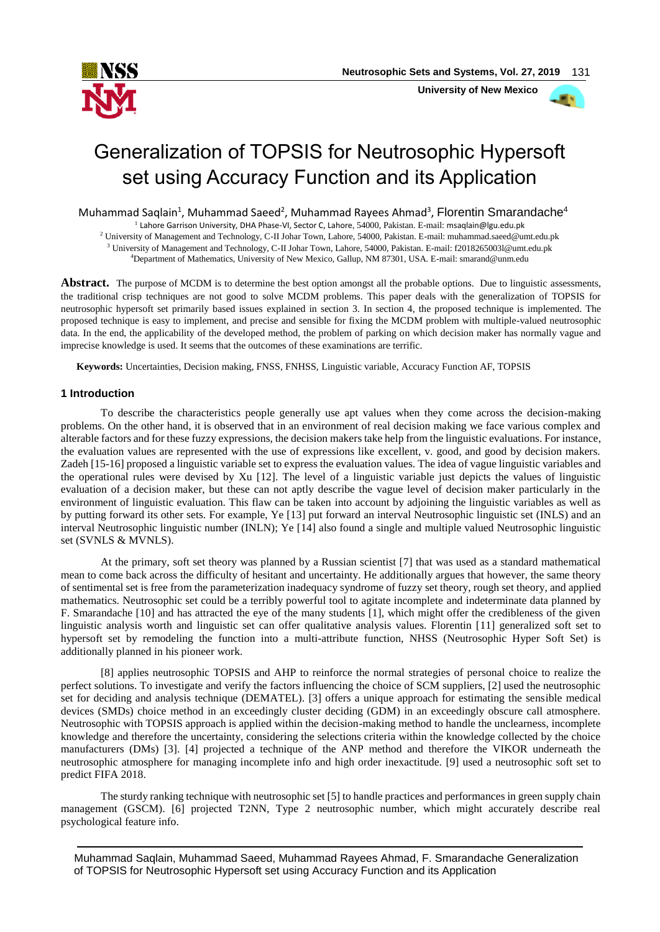

 **University of New Mexico**



# Generalization of TOPSIS for Neutrosophic Hypersoft set using Accuracy Function and its Application

Muhammad Saqlain<sup>1</sup>, Muhammad Saeed<sup>2</sup>, Muhammad Rayees Ahmad<sup>3</sup>, Florentin Smarandache<sup>4</sup>

1 Lahore Garrison University, DHA Phase-VI, Sector C, Lahore, 54000, Pakistan. E-mail: [msaqlain@lgu.edu.pk](mailto:msaqlain@lgu.edu.pk)

<sup>2</sup> University of Management and Technology, C-II Johar Town, Lahore, 54000, Pakistan. E-mail[: muhammad.saeed@umt.edu.pk](mailto:muhammad.saeed@umt.edu.pk) <sup>3</sup> University of Management and Technology, C-II Johar Town, Lahore, 54000, Pakistan. E-mail[: f2018265003l@umt.edu.pk](mailto:f2018265003l@umt.edu.pk)

<sup>4</sup>Department of Mathematics, University of New Mexico, Gallup, NM 87301, USA. E-mail[: smarand@unm.edu](mailto:smarand@unm.edu)

**Abstract.** The purpose of MCDM is to determine the best option amongst all the probable options. Due to linguistic assessments, the traditional crisp techniques are not good to solve MCDM problems. This paper deals with the generalization of TOPSIS for neutrosophic hypersoft set primarily based issues explained in section 3. In section 4, the proposed technique is implemented. The proposed technique is easy to implement, and precise and sensible for fixing the MCDM problem with multiple-valued neutrosophic data. In the end, the applicability of the developed method, the problem of parking on which decision maker has normally vague and imprecise knowledge is used. It seems that the outcomes of these examinations are terrific.

**Keywords:** Uncertainties, Decision making, FNSS, FNHSS, Linguistic variable, Accuracy Function AF, TOPSIS

# **1 Introduction**

To describe the characteristics people generally use apt values when they come across the decision-making problems. On the other hand, it is observed that in an environment of real decision making we face various complex and alterable factors and for these fuzzy expressions, the decision makers take help from the linguistic evaluations. For instance, the evaluation values are represented with the use of expressions like excellent, v. good, and good by decision makers. Zadeh [15-16] proposed a linguistic variable set to express the evaluation values. The idea of vague linguistic variables and the operational rules were devised by Xu [12]. The level of a linguistic variable just depicts the values of linguistic evaluation of a decision maker, but these can not aptly describe the vague level of decision maker particularly in the environment of linguistic evaluation. This flaw can be taken into account by adjoining the linguistic variables as well as by putting forward its other sets. For example, Ye [13] put forward an interval Neutrosophic linguistic set (INLS) and an interval Neutrosophic linguistic number (INLN); Ye [14] also found a single and multiple valued Neutrosophic linguistic set (SVNLS & MVNLS).

At the primary, soft set theory was planned by a Russian scientist [7] that was used as a standard mathematical mean to come back across the difficulty of hesitant and uncertainty. He additionally argues that however, the same theory of sentimental set is free from the parameterization inadequacy syndrome of fuzzy set theory, rough set theory, and applied mathematics. Neutrosophic set could be a terribly powerful tool to agitate incomplete and indeterminate data planned by F. Smarandache [10] and has attracted the eye of the many students [1], which might offer the credibleness of the given linguistic analysis worth and linguistic set can offer qualitative analysis values. Florentin [11] generalized soft set to hypersoft set by remodeling the function into a multi-attribute function, NHSS (Neutrosophic Hyper Soft Set) is additionally planned in his pioneer work.

[8] applies neutrosophic TOPSIS and AHP to reinforce the normal strategies of personal choice to realize the perfect solutions. To investigate and verify the factors influencing the choice of SCM suppliers, [2] used the neutrosophic set for deciding and analysis technique (DEMATEL). [3] offers a unique approach for estimating the sensible medical devices (SMDs) choice method in an exceedingly cluster deciding (GDM) in an exceedingly obscure call atmosphere. Neutrosophic with TOPSIS approach is applied within the decision-making method to handle the unclearness, incomplete knowledge and therefore the uncertainty, considering the selections criteria within the knowledge collected by the choice manufacturers (DMs) [3]. [4] projected a technique of the ANP method and therefore the VIKOR underneath the neutrosophic atmosphere for managing incomplete info and high order inexactitude. [9] used a neutrosophic soft set to predict FIFA 2018.

The sturdy ranking technique with neutrosophic set [5] to handle practices and performances in green supply chain management (GSCM). [6] projected T2NN, Type 2 neutrosophic number, which might accurately describe real psychological feature info.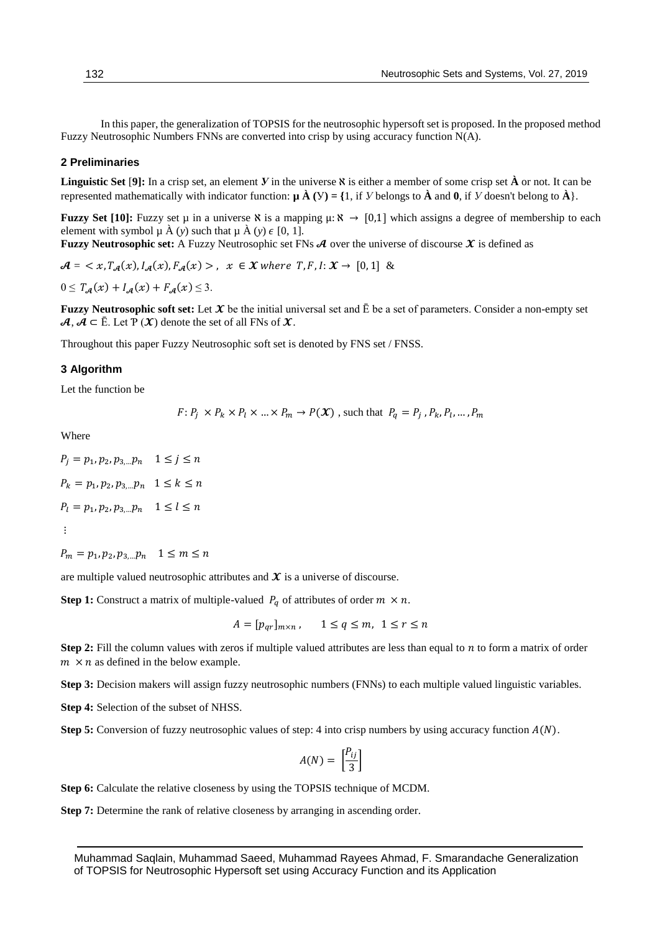In this paper, the generalization of TOPSIS for the neutrosophic hypersoft set is proposed. In the proposed method Fuzzy Neutrosophic Numbers FNNs are converted into crisp by using accuracy function N(A).

#### **2 Preliminaries**

**Linguistic Set** [**9]:** In a crisp set, an element *У* in the universe ℵ is either a member of some crisp set **À** or not. It can be represented mathematically with indicator function:  $\mu \hat{A}(y) = \{1, \text{ if } y \text{ belongs to } \hat{A} \}$  and **0**, if *y* doesn't belong to  $\hat{A}\}$ .

**Fuzzy Set [10]:** Fuzzy set  $\mu$  in a universe  $\aleph$  is a mapping  $\mu: \aleph \to [0,1]$  which assigns a degree of membership to each element with symbol  $\mu$   $\hat{A}$  (*y*) such that  $\mu$   $\hat{A}$  (*y*)  $\epsilon$  [0, 1].

**Fuzzy Neutrosophic set:** A Fuzzy Neutrosophic set FNs  $\mathcal A$  over the universe of discourse  $\mathcal X$  is defined as

 $\mathcal{A} = \langle x, T_{\mathcal{A}}(x), I_{\mathcal{A}}(x), F_{\mathcal{A}}(x) \rangle, x \in \mathcal{X}$  where  $T, F, I: \mathcal{X} \to [0, 1]$  &

 $0 \leq T_{\mathcal{A}}(x) + I_{\mathcal{A}}(x) + F_{\mathcal{A}}(x) \leq 3.$ 

**Fuzzy Neutrosophic soft set:** Let  $X$  be the initial universal set and  $\bar{E}$  be a set of parameters. Consider a non-empty set  $A, A \subseteq \overline{E}$ . Let  $P(X)$  denote the set of all FNs of  $X$ .

Throughout this paper Fuzzy Neutrosophic soft set is denoted by FNS set / FNSS.

### **3 Algorithm**

Let the function be

$$
F: P_j \times P_k \times P_l \times ... \times P_m \rightarrow P(\mathcal{X})
$$
, such that  $P_q = P_j, P_k, P_l, ..., P_m$ 

Where

$$
P_j = p_1, p_2, p_{3,...}p_n \quad 1 \le j \le n
$$
  

$$
P_k = p_1, p_2, p_{3,...}p_n \quad 1 \le k \le n
$$
  

$$
P_l = p_1, p_2, p_{3,...}p_n \quad 1 \le l \le n
$$
  

$$
\vdots
$$

$$
P_m = p_1, p_2, p_{3,...} p_n \quad 1 \le m \le n
$$

are multiple valued neutrosophic attributes and  $\chi$  is a universe of discourse.

**Step 1:** Construct a matrix of multiple-valued  $P_q$  of attributes of order  $m \times n$ .

$$
A = [p_{qr}]_{m \times n}, \qquad 1 \le q \le m, \ \ 1 \le r \le n
$$

**Step 2:** Fill the column values with zeros if multiple valued attributes are less than equal to *n* to form a matrix of order  $m \times n$  as defined in the below example.

**Step 3:** Decision makers will assign fuzzy neutrosophic numbers (FNNs) to each multiple valued linguistic variables.

**Step 4:** Selection of the subset of NHSS.

**Step 5:** Conversion of fuzzy neutrosophic values of step: 4 into crisp numbers by using accuracy function  $A(N)$ .

$$
A(N) = \left[\frac{P_{ij}}{3}\right]
$$

**Step 6:** Calculate the relative closeness by using the TOPSIS technique of MCDM.

**Step 7:** Determine the rank of relative closeness by arranging in ascending order.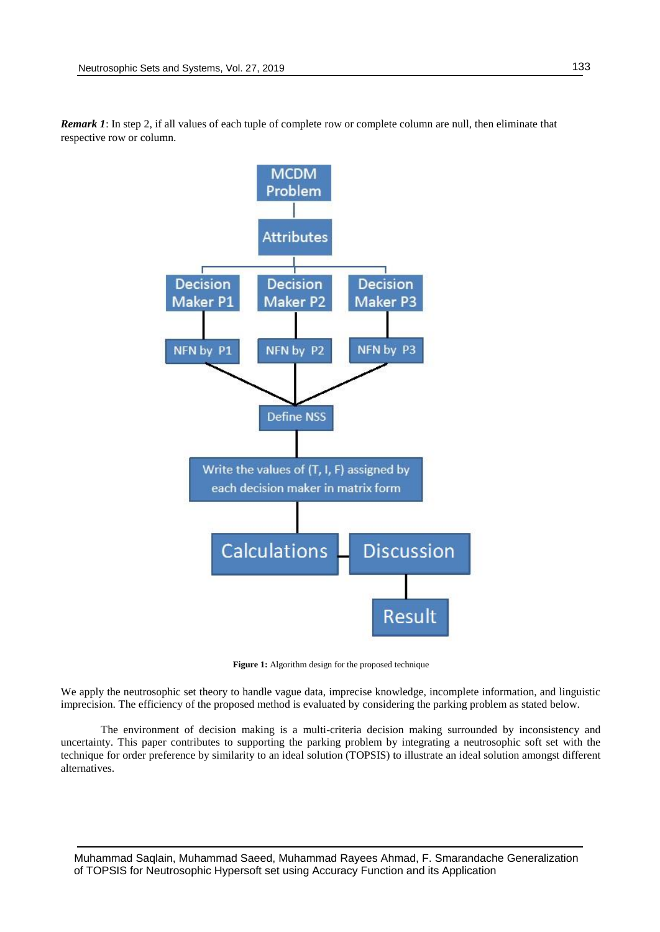

*Remark 1*: In step 2, if all values of each tuple of complete row or complete column are null, then eliminate that respective row or column.

Figure 1: Algorithm design for the proposed technique

We apply the neutrosophic set theory to handle vague data, imprecise knowledge, incomplete information, and linguistic imprecision. The efficiency of the proposed method is evaluated by considering the parking problem as stated below.

The environment of decision making is a multi-criteria decision making surrounded by inconsistency and uncertainty. This paper contributes to supporting the parking problem by integrating a neutrosophic soft set with the technique for order preference by similarity to an ideal solution (TOPSIS) to illustrate an ideal solution amongst different alternatives.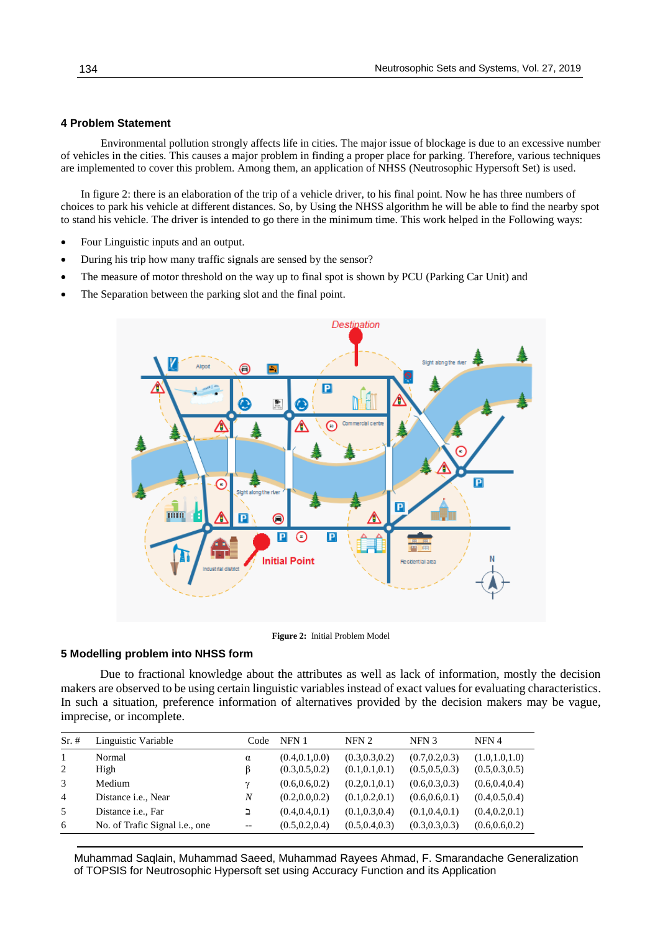## **4 Problem Statement**

Environmental pollution strongly affects life in cities. The major issue of blockage is due to an excessive number of vehicles in the cities. This causes a major problem in finding a proper place for parking. Therefore, various techniques are implemented to cover this problem. Among them, an application of NHSS (Neutrosophic Hypersoft Set) is used.

In figure 2: there is an elaboration of the trip of a vehicle driver, to his final point. Now he has three numbers of choices to park his vehicle at different distances. So, by Using the NHSS algorithm he will be able to find the nearby spot to stand his vehicle. The driver is intended to go there in the minimum time. This work helped in the Following ways:

- Four Linguistic inputs and an output.
- During his trip how many traffic signals are sensed by the sensor?
- The measure of motor threshold on the way up to final spot is shown by PCU (Parking Car Unit) and
- The Separation between the parking slot and the final point.





## **5 Modelling problem into NHSS form**

Due to fractional knowledge about the attributes as well as lack of information, mostly the decision makers are observed to be using certain linguistic variables instead of exact values for evaluating characteristics. In such a situation, preference information of alternatives provided by the decision makers may be vague, imprecise, or incomplete.

| $Sr. \#$       | Linguistic Variable                    | Code  | NFN 1           | NFN <sub>2</sub> | NFN <sub>3</sub> | NFN 4           |
|----------------|----------------------------------------|-------|-----------------|------------------|------------------|-----------------|
| -1             | Normal                                 | α     | (0.4, 0.1, 0.0) | (0.3, 0.3, 0.2)  | (0.7, 0.2, 0.3)  | (1.0, 1.0, 1.0) |
| 2              | High                                   | ß     | (0.3, 0.5, 0.2) | (0.1, 0.1, 0.1)  | (0.5, 0.5, 0.3)  | (0.5, 0.3, 0.5) |
| 3              | Medium                                 | ν     | (0.6, 0.6, 0.2) | (0.2, 0.1, 0.1)  | (0.6, 0.3, 0.3)  | (0.6, 0.4, 0.4) |
| $\overline{4}$ | Distance <i>i.e.</i> , Near            | N     | (0.2, 0.0, 0.2) | (0.1, 0.2, 0.1)  | (0.6, 0.6, 0.1)  | (0.4, 0.5, 0.4) |
| .5             | Distance <i>i.e.</i> , Far             | ב     | (0.4, 0.4, 0.1) | (0.1, 0.3, 0.4)  | (0.1, 0.4, 0.1)  | (0.4, 0.2, 0.1) |
| 6              | No. of Trafic Signal <i>i.e.</i> , one | $- -$ | (0.5, 0.2, 0.4) | (0.5, 0.4, 0.3)  | (0.3, 0.3, 0.3)  | (0.6, 0.6, 0.2) |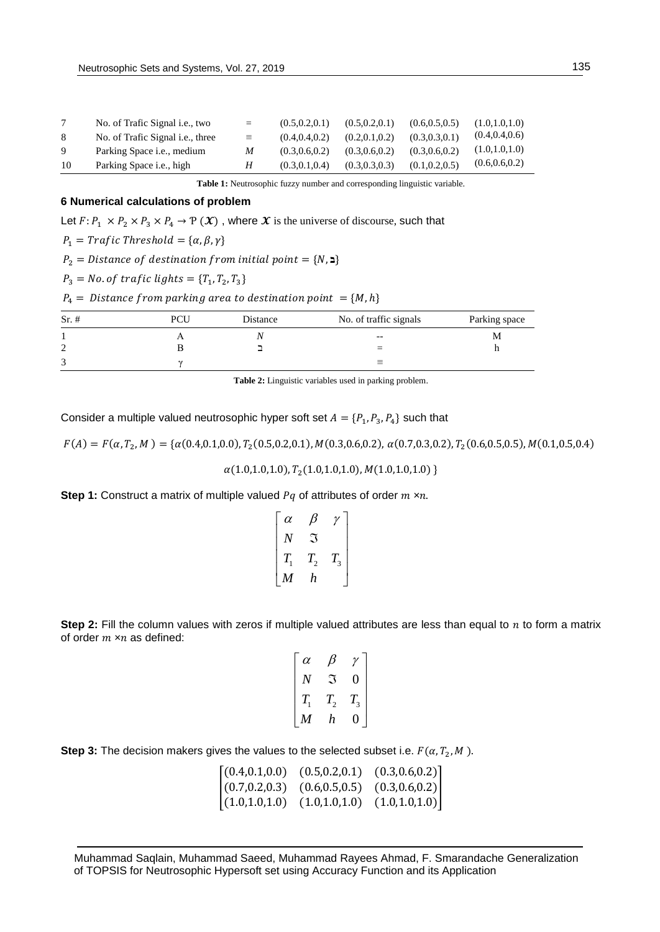|    | No. of Trafic Signal <i>i.e.</i> , two   | $=$      | (0.5.0.2.0.1) | (0.5.0.2.0.1) | (0.6.0.5.0.5) | (1.0.1.0.1.0)   |
|----|------------------------------------------|----------|---------------|---------------|---------------|-----------------|
| 8  | No. of Trafic Signal <i>i.e.</i> , three | $\equiv$ | (0.4.0.4.0.2) | (0.2.0.1.0.2) | (0.3.0.3.0.1) | (0.4, 0.4, 0.6) |
| 9  | Parking Space <i>i.e.</i> , medium       | M        | (0.3.0.6.0.2) | (0.3.0.6.0.2) | (0.3.0.6.0.2) | (1.0, 1.0, 1.0) |
| 10 | Parking Space <i>i.e.</i> , high         | Н        | (0.3.0.1.0.4) | (0.3.0.3.0.3) | (0.1.0.2.0.5) | (0.6, 0.6, 0.2) |

**Table 1:** Neutrosophic fuzzy number and corresponding linguistic variable.

## **6 Numerical calculations of problem**

Let  $F: P_1 \times P_2 \times P_3 \times P_4 \to P(\mathcal{X})$ , where  $\mathcal X$  is the universe of discourse, such that

 $P_1 = Trafic Threshold = {\alpha, \beta, \gamma}$ 

 $P_2$  = Distance of destination from initial point = {N, **2**}

$$
P_3 = No. of traffic lights = \{T_1, T_2, T_3\}
$$

 $P_4 = Distance from parking area to destination point = {M, h}$ 

| $Sr. \#$ | PCI | Distance | No. of traffic signals | Parking space |
|----------|-----|----------|------------------------|---------------|
|          |     |          | $- -$                  | м             |
| ⌒<br>∼   |     |          | $=$                    |               |
| ⌒<br>◡   |     |          | $\equiv$               |               |

**Table 2:** Linguistic variables used in parking problem.

Consider a multiple valued neutrosophic hyper soft set  $A = \{P_1, P_3, P_4\}$  such that

 $F(A) = F(\alpha, T_2, M) = \{\alpha(0.4, 0.1, 0.0), T_2(0.5, 0.2, 0.1), M(0.3, 0.6, 0.2), \alpha(0.7, 0.3, 0.2), T_2(0.6, 0.5, 0.5), M(0.1, 0.5, 0.4)\}$ 

 $\alpha(1.0, 1.0, 1.0), T_2(1.0, 1.0, 1.0), M(1.0, 1.0, 1.0)$ 

**Step 1:** Construct a matrix of multiple valued  $Pq$  of attributes of order  $m \times n$ .

| $\alpha$         |            |         |
|------------------|------------|---------|
| N                | 7.         |         |
| $T_{1}$          | $T^{}_{2}$ | $T_{3}$ |
| $\boldsymbol{M}$ | h          |         |

**Step 2:** Fill the column values with zeros if multiple valued attributes are less than equal to  $n$  to form a matrix of order  $m \times n$  as defined:

| $\alpha$ |              |         |  |
|----------|--------------|---------|--|
| N        | ៊            | 0       |  |
| $T_{1}$  | $T_{\rm _2}$ | $T_{3}$ |  |
| M        | h            |         |  |

**Step 3:** The decision makers gives the values to the selected subset i.e.  $F(\alpha, T_2, M)$ .

| (0.4, 0.1, 0.0) | (0.5, 0.2, 0.1) | (0.3, 0.6, 0.2) |
|-----------------|-----------------|-----------------|
| (0.7, 0.2, 0.3) | (0.6, 0.5, 0.5) | (0.3, 0.6, 0.2) |
| (1.0, 1.0, 1.0) | (1.0, 1.0, 1.0) | (1.0, 1.0, 1.0) |

Muhammad Saqlain, Muhammad Saeed, Muhammad Rayees Ahmad, F. Smarandache Generalization of TOPSIS for Neutrosophic Hypersoft set using Accuracy Function and its Application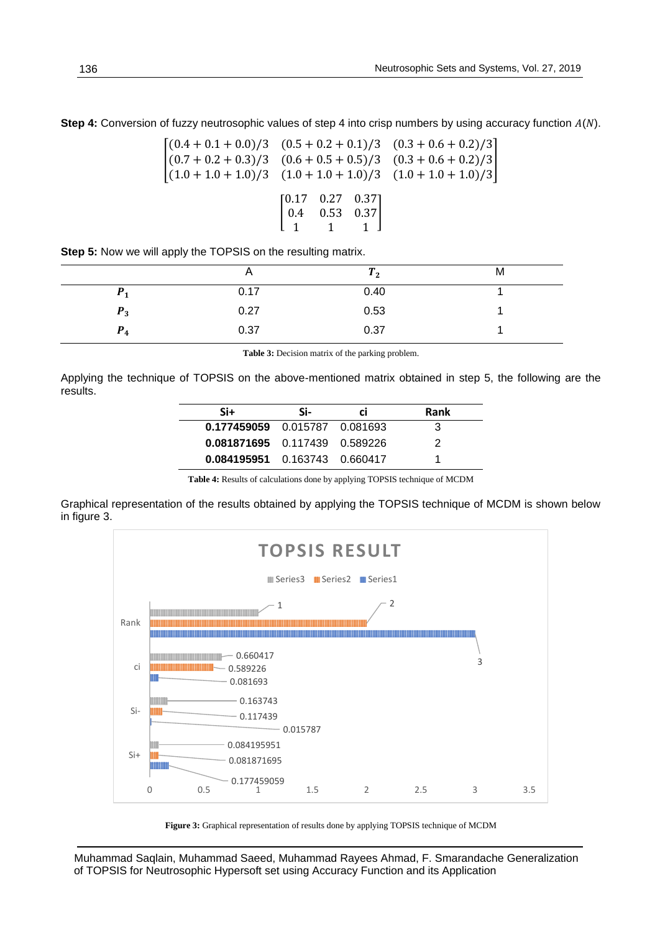**Step 4:** Conversion of fuzzy neutrosophic values of step 4 into crisp numbers by using accuracy function  $A(N)$ .

$$
\begin{bmatrix}\n(0.4 + 0.1 + 0.0)/3 & (0.5 + 0.2 + 0.1)/3 & (0.3 + 0.6 + 0.2)/3 \\
(0.7 + 0.2 + 0.3)/3 & (0.6 + 0.5 + 0.5)/3 & (0.3 + 0.6 + 0.2)/3 \\
(1.0 + 1.0 + 1.0)/3 & (1.0 + 1.0 + 1.0)/3 & (1.0 + 1.0 + 1.0)/3\n\end{bmatrix}
$$
\n
$$
\begin{bmatrix}\n0.17 & 0.27 & 0.37 \\
0.4 & 0.53 & 0.37 \\
1 & 1 & 1\n\end{bmatrix}
$$

**Step 5:** Now we will apply the TOPSIS on the resulting matrix.

|          | n    | 12   | М |
|----------|------|------|---|
|          | 0.17 | 0.40 |   |
| $P_3$    | 0.27 | 0.53 |   |
| D<br>r 4 | 0.37 | 0.37 |   |

**Table 3:** Decision matrix of the parking problem.

Applying the technique of TOPSIS on the above-mentioned matrix obtained in step 5, the following are the results.

| Si+                             | Si- | CI. | Rank |
|---------------------------------|-----|-----|------|
| 0.177459059  0.015787  0.081693 |     |     | З    |
| 0.081871695  0.117439  0.589226 |     |     | 2    |
| 0.084195951  0.163743  0.660417 |     |     |      |

**Table 4:** Results of calculations done by applying TOPSIS technique of MCDM

Graphical representation of the results obtained by applying the TOPSIS technique of MCDM is shown below in figure 3.



**Figure 3:** Graphical representation of results done by applying TOPSIS technique of MCDM